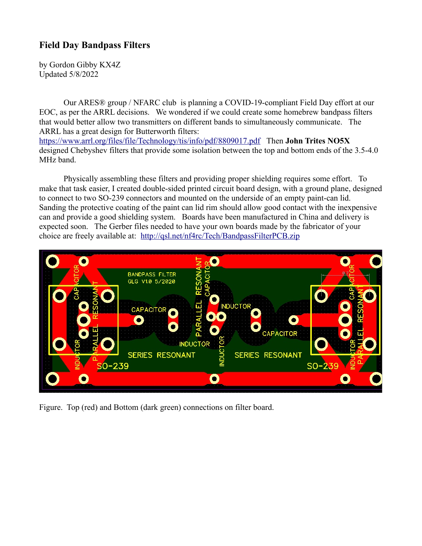## **Field Day Bandpass Filters**

by Gordon Gibby KX4Z Updated 5/8/2022

Our ARES® group / NFARC club is planning a COVID-19-compliant Field Day effort at our EOC, as per the ARRL decisions. We wondered if we could create some homebrew bandpass filters that would better allow two transmitters on different bands to simultaneously communicate. The ARRL has a great design for Butterworth filters:

<https://www.arrl.org/files/file/Technology/tis/info/pdf/8809017.pdf>Then **John Trites NO5X** designed Chebyshev filters that provide some isolation between the top and bottom ends of the 3.5-4.0 MHz band.

Physically assembling these filters and providing proper shielding requires some effort. To make that task easier, I created double-sided printed circuit board design, with a ground plane, designed to connect to two SO-239 connectors and mounted on the underside of an empty paint-can lid. Sanding the protective coating of the paint can lid rim should allow good contact with the inexpensive can and provide a good shielding system. Boards have been manufactured in China and delivery is expected soon. The Gerber files needed to have your own boards made by the fabricator of your choice are freely available at: <http://qsl.net/nf4rc/Tech/BandpassFilterPCB.zip>



Figure. Top (red) and Bottom (dark green) connections on filter board.